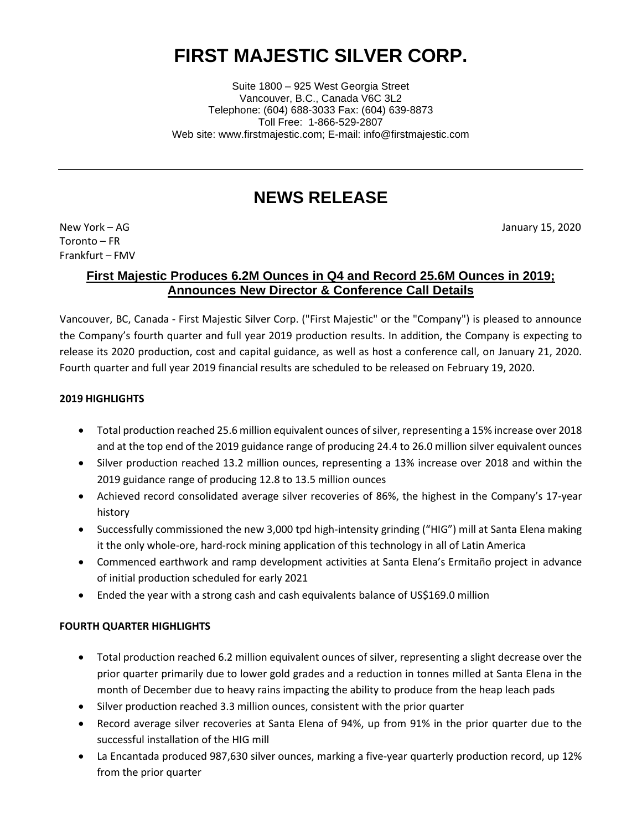# **FIRST MAJESTIC SILVER CORP.**

Suite 1800 – 925 West Georgia Street Vancouver, B.C., Canada V6C 3L2 Telephone: (604) 688-3033 Fax: (604) 639-8873 Toll Free: 1-866-529-2807 Web site: www.firstmajestic.com; E-mail: info@firstmajestic.com

# **NEWS RELEASE**

Toronto – FR Frankfurt – FMV

New York – AG January 15, 2020

# **First Majestic Produces 6.2M Ounces in Q4 and Record 25.6M Ounces in 2019; Announces New Director & Conference Call Details**

Vancouver, BC, Canada - First Majestic Silver Corp. ("First Majestic" or the "Company") is pleased to announce the Company's fourth quarter and full year 2019 production results. In addition, the Company is expecting to release its 2020 production, cost and capital guidance, as well as host a conference call, on January 21, 2020. Fourth quarter and full year 2019 financial results are scheduled to be released on February 19, 2020.

# **2019 HIGHLIGHTS**

- Total production reached 25.6 million equivalent ounces of silver, representing a 15% increase over 2018 and at the top end of the 2019 guidance range of producing 24.4 to 26.0 million silver equivalent ounces
- Silver production reached 13.2 million ounces, representing a 13% increase over 2018 and within the 2019 guidance range of producing 12.8 to 13.5 million ounces
- Achieved record consolidated average silver recoveries of 86%, the highest in the Company's 17-year history
- Successfully commissioned the new 3,000 tpd high-intensity grinding ("HIG") mill at Santa Elena making it the only whole-ore, hard-rock mining application of this technology in all of Latin America
- Commenced earthwork and ramp development activities at Santa Elena's Ermitaño project in advance of initial production scheduled for early 2021
- Ended the year with a strong cash and cash equivalents balance of US\$169.0 million

# **FOURTH QUARTER HIGHLIGHTS**

- Total production reached 6.2 million equivalent ounces of silver, representing a slight decrease over the prior quarter primarily due to lower gold grades and a reduction in tonnes milled at Santa Elena in the month of December due to heavy rains impacting the ability to produce from the heap leach pads
- Silver production reached 3.3 million ounces, consistent with the prior quarter
- Record average silver recoveries at Santa Elena of 94%, up from 91% in the prior quarter due to the successful installation of the HIG mill
- La Encantada produced 987,630 silver ounces, marking a five-year quarterly production record, up 12% from the prior quarter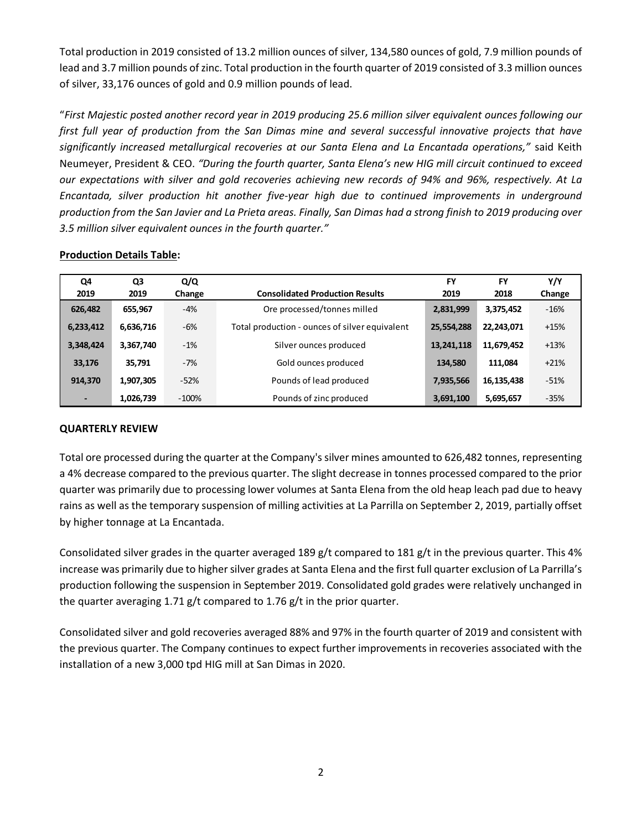Total production in 2019 consisted of 13.2 million ounces of silver, 134,580 ounces of gold, 7.9 million pounds of lead and 3.7 million pounds of zinc. Total production in the fourth quarter of 2019 consisted of 3.3 million ounces of silver, 33,176 ounces of gold and 0.9 million pounds of lead.

"*First Majestic posted another record year in 2019 producing 25.6 million silver equivalent ounces following our first full year of production from the San Dimas mine and several successful innovative projects that have significantly increased metallurgical recoveries at our Santa Elena and La Encantada operations,"* said Keith Neumeyer, President & CEO. *"During the fourth quarter, Santa Elena's new HIG mill circuit continued to exceed our expectations with silver and gold recoveries achieving new records of 94% and 96%, respectively. At La Encantada, silver production hit another five-year high due to continued improvements in underground production from the San Javier and La Prieta areas. Finally, San Dimas had a strong finish to 2019 producing over 3.5 million silver equivalent ounces in the fourth quarter."*

# **Production Details Table:**

| Q4<br>2019 | Q3<br>2019 | Q/Q<br>Change | <b>Consolidated Production Results</b>         | <b>FY</b><br>2019 | FY<br>2018   | Y/Y<br>Change |
|------------|------------|---------------|------------------------------------------------|-------------------|--------------|---------------|
| 626,482    | 655,967    | $-4%$         | Ore processed/tonnes milled                    | 2,831,999         | 3,375,452    | $-16%$        |
| 6,233,412  | 6,636,716  | $-6%$         | Total production - ounces of silver equivalent | 25,554,288        | 22,243,071   | $+15%$        |
| 3,348,424  | 3,367,740  | $-1%$         | Silver ounces produced                         | 13, 241, 118      | 11,679,452   | $+13%$        |
| 33,176     | 35,791     | $-7%$         | Gold ounces produced                           | 134,580           | 111,084      | $+21%$        |
| 914,370    | 1,907,305  | $-52%$        | Pounds of lead produced                        | 7,935,566         | 16, 135, 438 | $-51%$        |
|            | 1,026,739  | $-100%$       | Pounds of zinc produced                        | 3,691,100         | 5,695,657    | $-35%$        |

# **QUARTERLY REVIEW**

Total ore processed during the quarter at the Company's silver mines amounted to 626,482 tonnes, representing a 4% decrease compared to the previous quarter. The slight decrease in tonnes processed compared to the prior quarter was primarily due to processing lower volumes at Santa Elena from the old heap leach pad due to heavy rains as well as the temporary suspension of milling activities at La Parrilla on September 2, 2019, partially offset by higher tonnage at La Encantada.

Consolidated silver grades in the quarter averaged 189 g/t compared to 181 g/t in the previous quarter. This 4% increase was primarily due to higher silver grades at Santa Elena and the first full quarter exclusion of La Parrilla's production following the suspension in September 2019. Consolidated gold grades were relatively unchanged in the quarter averaging 1.71 g/t compared to 1.76 g/t in the prior quarter.

Consolidated silver and gold recoveries averaged 88% and 97% in the fourth quarter of 2019 and consistent with the previous quarter. The Company continues to expect further improvements in recoveries associated with the installation of a new 3,000 tpd HIG mill at San Dimas in 2020.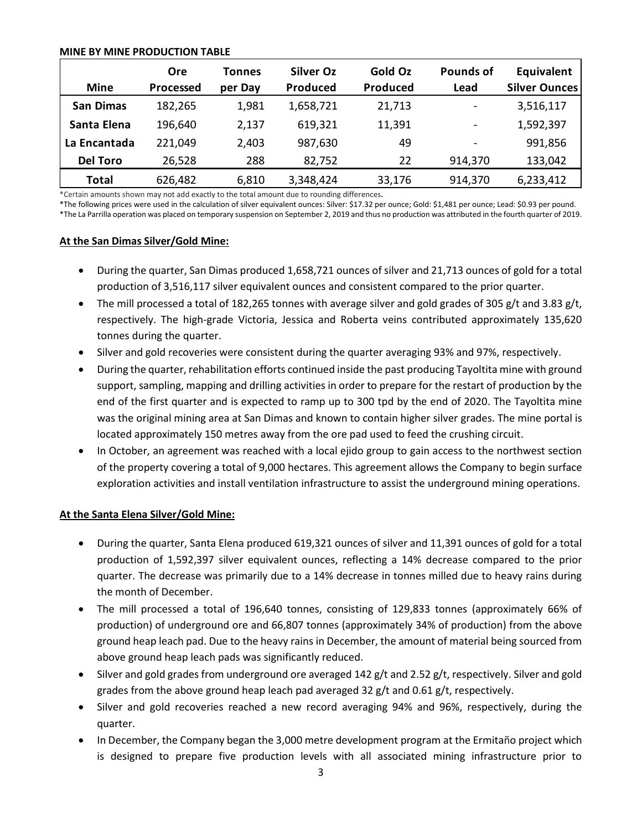#### **MINE BY MINE PRODUCTION TABLE**

|                  | Ore              | <b>Tonnes</b> | <b>Silver Oz</b> | Gold Oz  | <b>Pounds of</b>         | Equivalent           |
|------------------|------------------|---------------|------------------|----------|--------------------------|----------------------|
| <b>Mine</b>      | <b>Processed</b> | per Day       | <b>Produced</b>  | Produced | Lead                     | <b>Silver Ounces</b> |
| <b>San Dimas</b> | 182,265          | 1,981         | 1,658,721        | 21,713   | $\overline{\phantom{a}}$ | 3,516,117            |
| Santa Elena      | 196,640          | 2,137         | 619,321          | 11,391   | $\overline{\phantom{a}}$ | 1,592,397            |
| La Encantada     | 221,049          | 2,403         | 987,630          | 49       | $\overline{\phantom{a}}$ | 991,856              |
| <b>Del Toro</b>  | 26,528           | 288           | 82,752           | 22       | 914,370                  | 133,042              |
| Total            | 626,482          | 6,810         | 3,348,424        | 33,176   | 914,370                  | 6,233,412            |

\*Certain amounts shown may not add exactly to the total amount due to rounding differences**.**

\*The following prices were used in the calculation of silver equivalent ounces: Silver: \$17.32 per ounce; Gold: \$1,481 per ounce; Lead: \$0.93 per pound. \*The La Parrilla operation was placed on temporary suspension on September 2, 2019 and thus no production was attributed in the fourth quarter of 2019.

#### **At the San Dimas Silver/Gold Mine:**

- During the quarter, San Dimas produced 1,658,721 ounces of silver and 21,713 ounces of gold for a total production of 3,516,117 silver equivalent ounces and consistent compared to the prior quarter.
- The mill processed a total of 182,265 tonnes with average silver and gold grades of 305 g/t and 3.83 g/t, respectively. The high-grade Victoria, Jessica and Roberta veins contributed approximately 135,620 tonnes during the quarter.
- Silver and gold recoveries were consistent during the quarter averaging 93% and 97%, respectively.
- During the quarter, rehabilitation efforts continued inside the past producing Tayoltita mine with ground support, sampling, mapping and drilling activities in order to prepare for the restart of production by the end of the first quarter and is expected to ramp up to 300 tpd by the end of 2020. The Tayoltita mine was the original mining area at San Dimas and known to contain higher silver grades. The mine portal is located approximately 150 metres away from the ore pad used to feed the crushing circuit.
- In October, an agreement was reached with a local ejido group to gain access to the northwest section of the property covering a total of 9,000 hectares. This agreement allows the Company to begin surface exploration activities and install ventilation infrastructure to assist the underground mining operations.

#### **At the Santa Elena Silver/Gold Mine:**

- During the quarter, Santa Elena produced 619,321 ounces of silver and 11,391 ounces of gold for a total production of 1,592,397 silver equivalent ounces, reflecting a 14% decrease compared to the prior quarter. The decrease was primarily due to a 14% decrease in tonnes milled due to heavy rains during the month of December.
- The mill processed a total of 196,640 tonnes, consisting of 129,833 tonnes (approximately 66% of production) of underground ore and 66,807 tonnes (approximately 34% of production) from the above ground heap leach pad. Due to the heavy rains in December, the amount of material being sourced from above ground heap leach pads was significantly reduced.
- Silver and gold grades from underground ore averaged 142 g/t and 2.52 g/t, respectively. Silver and gold grades from the above ground heap leach pad averaged 32 g/t and 0.61 g/t, respectively.
- Silver and gold recoveries reached a new record averaging 94% and 96%, respectively, during the quarter.
- In December, the Company began the 3,000 metre development program at the Ermitaño project which is designed to prepare five production levels with all associated mining infrastructure prior to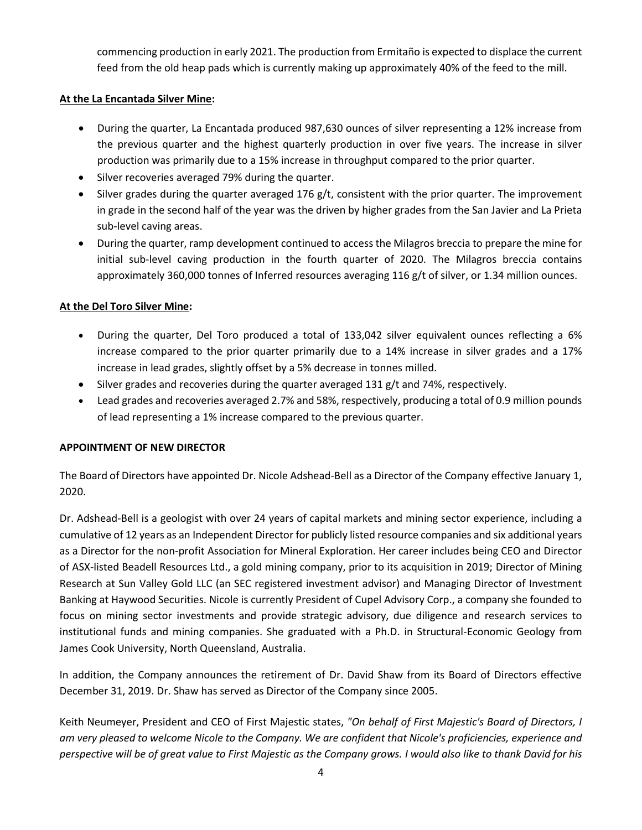commencing production in early 2021. The production from Ermitaño is expected to displace the current feed from the old heap pads which is currently making up approximately 40% of the feed to the mill.

# **At the La Encantada Silver Mine:**

- During the quarter, La Encantada produced 987,630 ounces of silver representing a 12% increase from the previous quarter and the highest quarterly production in over five years. The increase in silver production was primarily due to a 15% increase in throughput compared to the prior quarter.
- Silver recoveries averaged 79% during the quarter.
- Silver grades during the quarter averaged 176 g/t, consistent with the prior quarter. The improvement in grade in the second half of the year was the driven by higher grades from the San Javier and La Prieta sub-level caving areas.
- During the quarter, ramp development continued to access the Milagros breccia to prepare the mine for initial sub-level caving production in the fourth quarter of 2020. The Milagros breccia contains approximately 360,000 tonnes of Inferred resources averaging 116 g/t of silver, or 1.34 million ounces.

# **At the Del Toro Silver Mine:**

- During the quarter, Del Toro produced a total of 133,042 silver equivalent ounces reflecting a 6% increase compared to the prior quarter primarily due to a 14% increase in silver grades and a 17% increase in lead grades, slightly offset by a 5% decrease in tonnes milled.
- Silver grades and recoveries during the quarter averaged 131 g/t and 74%, respectively.
- Lead grades and recoveries averaged 2.7% and 58%, respectively, producing a total of 0.9 million pounds of lead representing a 1% increase compared to the previous quarter.

# **APPOINTMENT OF NEW DIRECTOR**

The Board of Directors have appointed Dr. Nicole Adshead-Bell as a Director of the Company effective January 1, 2020.

Dr. Adshead-Bell is a geologist with over 24 years of capital markets and mining sector experience, including a cumulative of 12 years as an Independent Director for publicly listed resource companies and six additional years as a Director for the non-profit Association for Mineral Exploration. Her career includes being CEO and Director of ASX-listed Beadell Resources Ltd., a gold mining company, prior to its acquisition in 2019; Director of Mining Research at Sun Valley Gold LLC (an SEC registered investment advisor) and Managing Director of Investment Banking at Haywood Securities. Nicole is currently President of Cupel Advisory Corp., a company she founded to focus on mining sector investments and provide strategic advisory, due diligence and research services to institutional funds and mining companies. She graduated with a Ph.D. in Structural-Economic Geology from James Cook University, North Queensland, Australia.

In addition, the Company announces the retirement of Dr. David Shaw from its Board of Directors effective December 31, 2019. Dr. Shaw has served as Director of the Company since 2005.

Keith Neumeyer, President and CEO of First Majestic states, *"On behalf of First Majestic's Board of Directors, I am very pleased to welcome Nicole to the Company. We are confident that Nicole's proficiencies, experience and perspective will be of great value to First Majestic as the Company grows. I would also like to thank David for his*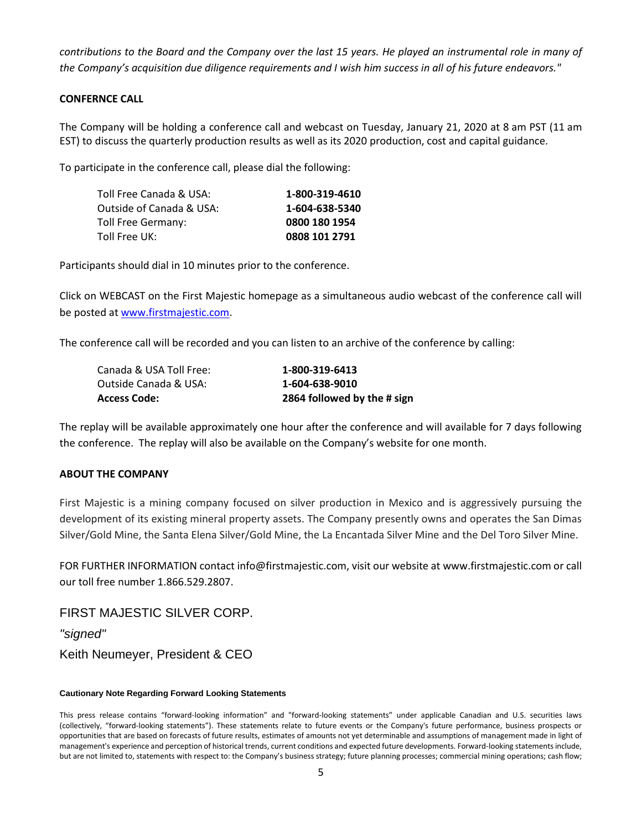*contributions to the Board and the Company over the last 15 years. He played an instrumental role in many of the Company's acquisition due diligence requirements and I wish him success in all of his future endeavors."*

#### **CONFERNCE CALL**

The Company will be holding a conference call and webcast on Tuesday, January 21, 2020 at 8 am PST (11 am EST) to discuss the quarterly production results as well as its 2020 production, cost and capital guidance.

To participate in the conference call, please dial the following:

| 1-800-319-4610 |
|----------------|
| 1-604-638-5340 |
| 0800 180 1954  |
| 0808 101 2791  |
|                |

Participants should dial in 10 minutes prior to the conference.

Click on WEBCAST on the First Majestic homepage as a simultaneous audio webcast of the conference call will be posted at [www.firstmajestic.com.](http://www.firstmajestic.com/)

The conference call will be recorded and you can listen to an archive of the conference by calling:

| Canada & USA Toll Free: | 1-800-319-6413              |
|-------------------------|-----------------------------|
| Outside Canada & USA:   | 1-604-638-9010              |
| Access Code: .          | 2864 followed by the # sign |

The replay will be available approximately one hour after the conference and will available for 7 days following the conference. The replay will also be available on the Company's website for one month.

#### **ABOUT THE COMPANY**

First Majestic is a mining company focused on silver production in Mexico and is aggressively pursuing the development of its existing mineral property assets. The Company presently owns and operates the San Dimas Silver/Gold Mine, the Santa Elena Silver/Gold Mine, the La Encantada Silver Mine and the Del Toro Silver Mine.

FOR FURTHER INFORMATION contact info@firstmajestic.com, visit our website at www.firstmajestic.com or call our toll free number 1.866.529.2807.

FIRST MAJESTIC SILVER CORP. *"signed"* Keith Neumeyer, President & CEO

#### **Cautionary Note Regarding Forward Looking Statements**

This press release contains "forward‐looking information" and "forward-looking statements" under applicable Canadian and U.S. securities laws (collectively, "forward‐looking statements"). These statements relate to future events or the Company's future performance, business prospects or opportunities that are based on forecasts of future results, estimates of amounts not yet determinable and assumptions of management made in light of management's experience and perception of historical trends, current conditions and expected future developments. Forward-looking statements include, but are not limited to, statements with respect to: the Company's business strategy; future planning processes; commercial mining operations; cash flow;